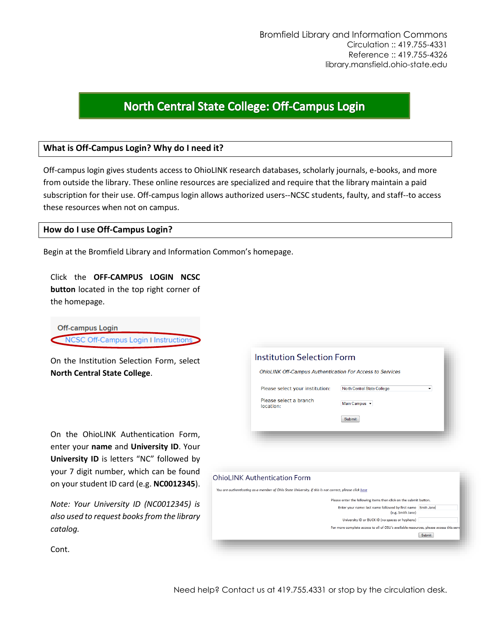# North Central State College: Off-Campus Login

## **What is Off-Campus Login? Why do I need it?**

Off-campus login gives students access to OhioLINK research databases, scholarly journals, e-books, and more from outside the library. These online resources are specialized and require that the library maintain a paid subscription for their use. Off-campus login allows authorized users--NCSC students, faulty, and staff--to access these resources when not on campus.

## **How do I use Off-Campus Login?**

Begin at the Bromfield Library and Information Common's homepage.

Click the **OFF-CAMPUS LOGIN NCSC button** located in the top right corner of the homepage.

**Off-campus Login** NCSC Off-Campus Login I Instructions

On the Institution Selection Form, select **North Central State College**.

On the OhioLINK Authentication Form, enter your **name** and **University ID**. Your **University ID** is letters "NC" followed by your 7 digit number, which can be found on your student ID card (e.g. **NC0012345**).

*Note: Your University ID (NC0012345) is also used to request books from the library catalog.*

| <b>OhioLINK Off-Campus Authentication For Access to Services</b> |                                  |
|------------------------------------------------------------------|----------------------------------|
| Please select your institution:                                  | North Central State College<br>۰ |
| Please select a branch<br>location:                              | Main Campus -                    |
|                                                                  | <b>Submit</b>                    |

#### **OhioLINK Authentication Form**

You are authenticating as a member of Ohio State University. If this is not correct, please click here

| Please enter the following items then click on the submit button.                      |               |
|----------------------------------------------------------------------------------------|---------------|
| Enter your name: last name followed by first name Smith Jane<br>(e.g. Smith Jane)      |               |
| University ID or BUCK ID (no spaces or hyphens)                                        |               |
| For more complete access to all of OSU's available resources, please access this serve |               |
|                                                                                        | <b>Submit</b> |
|                                                                                        |               |

Cont.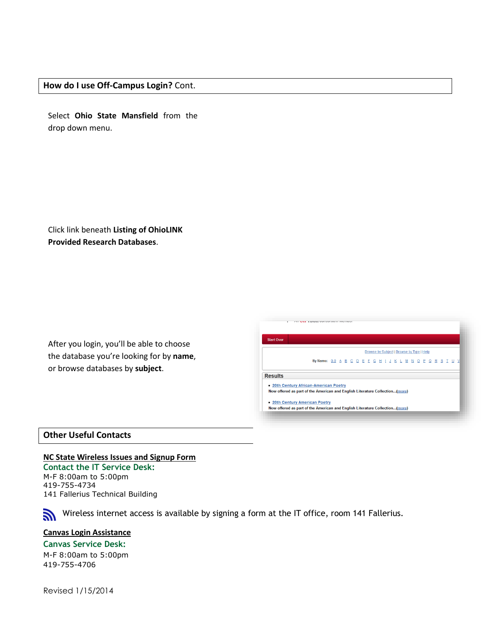### **How do I use Off-Campus Login?** Cont.

Select **Ohio State Mansfield** from the drop down menu.

Click link beneath **Listing of OhioLINK Provided Research Databases**.

After you login, you'll be able to choose the database you're looking for by **name**, or browse databases by **subject**.

|                | Browse by Subject   Browse by Type   Help                                                                             |  |  |  |  |  |  |  |  |  |  |  |  |  |  |  |  |  |  |
|----------------|-----------------------------------------------------------------------------------------------------------------------|--|--|--|--|--|--|--|--|--|--|--|--|--|--|--|--|--|--|
|                | By Name: 0-9 A B C D E F G H I J K L M N O P Q R S T U V                                                              |  |  |  |  |  |  |  |  |  |  |  |  |  |  |  |  |  |  |
|                |                                                                                                                       |  |  |  |  |  |  |  |  |  |  |  |  |  |  |  |  |  |  |
| <b>Results</b> |                                                                                                                       |  |  |  |  |  |  |  |  |  |  |  |  |  |  |  |  |  |  |
|                |                                                                                                                       |  |  |  |  |  |  |  |  |  |  |  |  |  |  |  |  |  |  |
|                | . 20th Century African-American Poetry<br>Now offered as part of the American and English Literature Collection(more) |  |  |  |  |  |  |  |  |  |  |  |  |  |  |  |  |  |  |
|                |                                                                                                                       |  |  |  |  |  |  |  |  |  |  |  |  |  |  |  |  |  |  |
|                |                                                                                                                       |  |  |  |  |  |  |  |  |  |  |  |  |  |  |  |  |  |  |

## **Other Useful Contacts**

**NC State Wireless Issues and Signup Form Contact the IT Service Desk:** M-F 8:00am to 5:00pm 419-755-4734 141 Fallerius Technical Building

Wireless internet access is available by signing a form at the IT office, room 141 Fallerius.

## **Canvas Login Assistance**

**Canvas Service Desk:** M-F 8:00am to 5:00pm 419-755-4706

Revised 1/15/2014